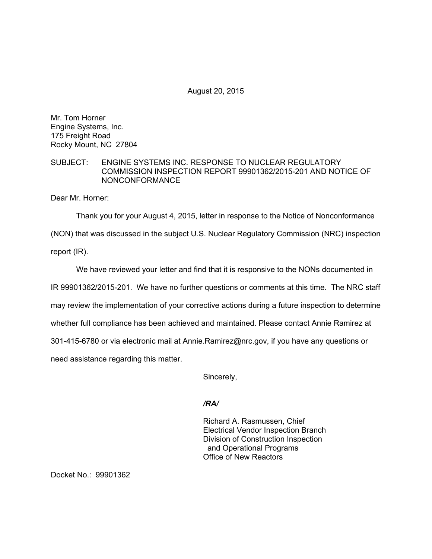August 20, 2015

Mr. Tom Horner Engine Systems, Inc. 175 Freight Road Rocky Mount, NC 27804

## SUBJECT: ENGINE SYSTEMS INC. RESPONSE TO NUCLEAR REGULATORY COMMISSION INSPECTION REPORT 99901362/2015-201 AND NOTICE OF NONCONFORMANCE

Dear Mr. Horner:

Thank you for your August 4, 2015, letter in response to the Notice of Nonconformance

(NON) that was discussed in the subject U.S. Nuclear Regulatory Commission (NRC) inspection

report (IR).

We have reviewed your letter and find that it is responsive to the NONs documented in IR 99901362/2015-201. We have no further questions or comments at this time. The NRC staff may review the implementation of your corrective actions during a future inspection to determine whether full compliance has been achieved and maintained. Please contact Annie Ramirez at 301-415-6780 or via electronic mail at Annie.Ramirez@nrc.gov, if you have any questions or need assistance regarding this matter.

Sincerely,

*/RA/* 

Richard A. Rasmussen, Chief Electrical Vendor Inspection Branch Division of Construction Inspection and Operational Programs Office of New Reactors

Docket No.: 99901362